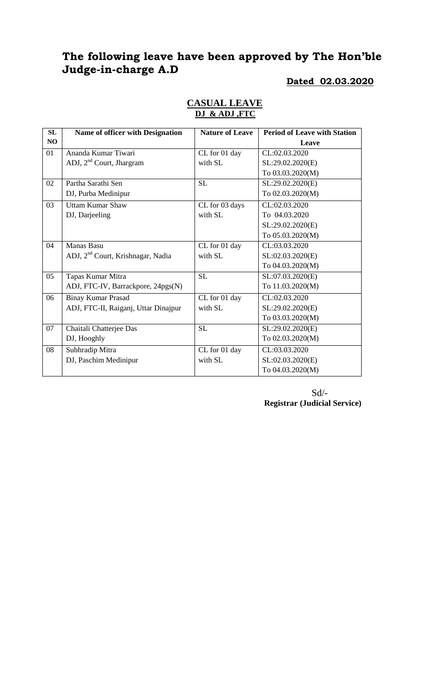| <b>SL</b> | <b>Name of officer with Designation</b>       | <b>Nature of Leave</b> | <b>Period of Leave with Station</b> |
|-----------|-----------------------------------------------|------------------------|-------------------------------------|
| NO        |                                               |                        | Leave                               |
| 01        | Ananda Kumar Tiwari                           | CL for 01 day          | CL:02.03.2020                       |
|           | ADJ, $2nd$ Court, Jhargram                    | with SL                | SL:29.02.2020(E)                    |
|           |                                               |                        | To 03.03.2020(M)                    |
| 02        | Partha Sarathi Sen                            | SL                     | SL:29.02.2020(E)                    |
|           | DJ, Purba Medinipur                           |                        | To 02.03.2020(M)                    |
| 03        | <b>Uttam Kumar Shaw</b>                       | CL for 03 days         | CL:02.03.2020                       |
|           | DJ, Darjeeling                                | with SL                | To 04.03.2020                       |
|           |                                               |                        | SL:29.02.2020(E)                    |
|           |                                               |                        | To 05.03.2020(M)                    |
| 04        | <b>Manas Basu</b>                             | CL for 01 day          | CL:03.03.2020                       |
|           | ADJ, 2 <sup>nd</sup> Court, Krishnagar, Nadia | with SL                | SL:02.03.2020(E)                    |
|           |                                               |                        | To 04.03.2020(M)                    |
| 05        | Tapas Kumar Mitra                             | SL                     | SL:07.03.2020(E)                    |
|           | ADJ, FTC-IV, Barrackpore, 24pgs(N)            |                        | To 11.03.2020(M)                    |
| 06        | <b>Binay Kumar Prasad</b>                     | CL for 01 day          | CL:02.03.2020                       |
|           | ADJ, FTC-II, Raiganj, Uttar Dinajpur          | with SL                | SL:29.02.2020(E)                    |
|           |                                               |                        | To 03.03.2020(M)                    |
| 07        | Chaitali Chatterjee Das                       | <b>SL</b>              | SL:29.02.2020(E)                    |
|           | DJ, Hooghly                                   |                        | To 02.03.2020(M)                    |
| 08        | Subhradip Mitra                               | CL for 01 day          | CL:03.03.2020                       |
|           | DJ, Paschim Medinipur                         | with SL                | SL:02.03.2020(E)                    |
|           |                                               |                        | To 04.03.2020(M)                    |

#### **CASUAL LEAVE DJ & ADJ ,FTC**

Sd/- **Registrar (Judicial Service)**

**Dated 02.03.2020**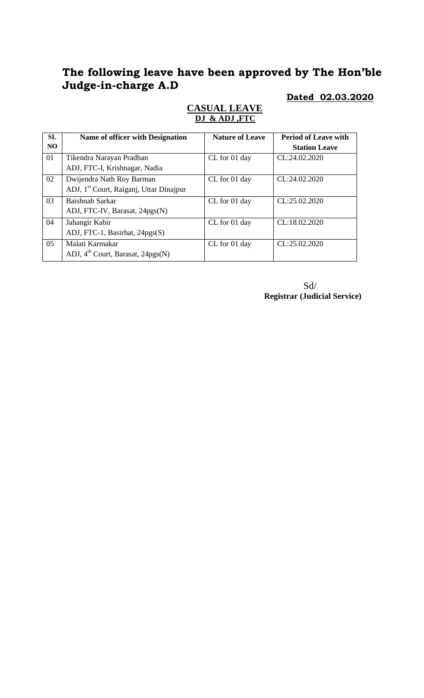### **Dated 02.03.2020**

| <b>SL</b> | <b>Name of officer with Designation</b>                                          | <b>Nature of Leave</b> | <b>Period of Leave with</b> |
|-----------|----------------------------------------------------------------------------------|------------------------|-----------------------------|
| NO.       |                                                                                  |                        | <b>Station Leave</b>        |
| 01        | Tikendra Narayan Pradhan<br>ADJ, FTC-I, Krishnagar, Nadia                        | CL for 01 day          | CL:24.02.2020               |
| 02        | Dwijendra Nath Roy Barman<br>ADJ, 1 <sup>st</sup> Court, Raiganj, Uttar Dinajpur | CL for 01 day          | CL:24.02.2020               |
| 03        | Baishnab Sarkar<br>ADJ, FTC-IV, Barasat, 24pgs(N)                                | CL for 01 day          | CL:25.02.2020               |
| 04        | Jahangir Kabir<br>ADJ, FTC-1, Basirhat, 24pgs(S)                                 | CL for 01 day          | CL:18.02.2020               |
| 05        | Malati Karmakar<br>ADJ, 4 <sup>th</sup> Court, Barasat, 24pgs(N)                 | CL for 01 day          | CL:25.02.2020               |

### **CASUAL LEAVE DJ & ADJ ,FTC**

 Sd/ **Registrar (Judicial Service)**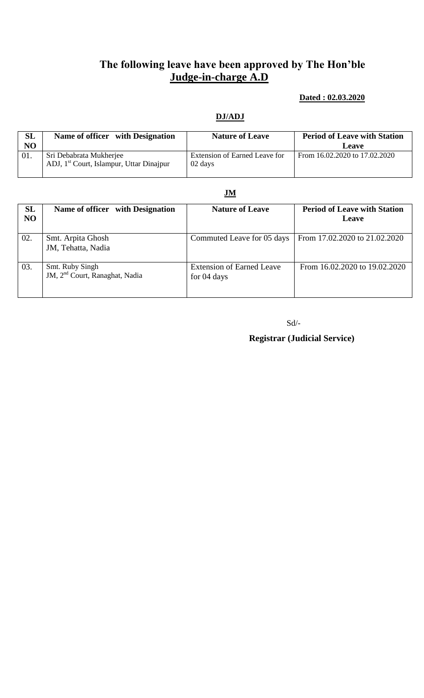### **Dated : 02.03.2020**

#### **DJ/ADJ**

| <b>SL</b><br>N <sub>O</sub> | Name of officer with Designation                                                | <b>Nature of Leave</b>                   | <b>Period of Leave with Station</b><br>Leave |
|-----------------------------|---------------------------------------------------------------------------------|------------------------------------------|----------------------------------------------|
| 01.                         | Sri Debabrata Mukherjee<br>ADJ, 1 <sup>st</sup> Court, Islampur, Uttar Dinajpur | Extension of Earned Leave for<br>02 days | From 16.02.2020 to 17.02.2020                |

#### **JM**

| SL<br>NO | Name of officer with Designation                              | <b>Nature of Leave</b>                          | <b>Period of Leave with Station</b><br><b>Leave</b> |
|----------|---------------------------------------------------------------|-------------------------------------------------|-----------------------------------------------------|
| 02.      | Smt. Arpita Ghosh<br>JM, Tehatta, Nadia                       | Commuted Leave for 05 days                      | From 17.02.2020 to 21.02.2020                       |
| 03.      | Smt. Ruby Singh<br>JM, 2 <sup>nd</sup> Court, Ranaghat, Nadia | <b>Extension of Earned Leave</b><br>for 04 days | From 16.02.2020 to 19.02.2020                       |

Sd/-

 **Registrar (Judicial Service)**